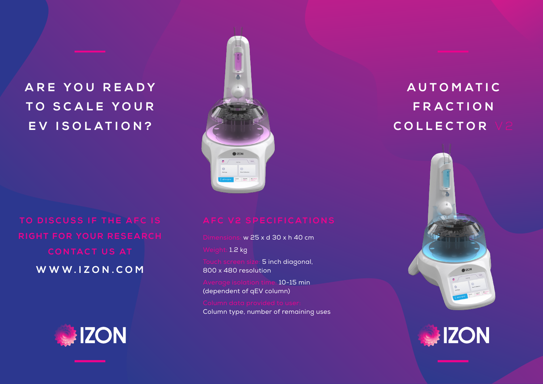# **A R E Y O U R E A D Y TO SCALE YOUR EV ISOLATION?**

**W W W . I Z O N . C O M** 





Dimensions: w 25 x d 30 x h 40 cm

Weight: 1.2 kg

uch screen siz<mark>e: 5 inch diagonal,</mark> 800 x 480 resolution

 $\pm 10 - 15$  min (dependent of qEV column)

Column type, number of remaining uses

# **A U T O M A T I C F R A C T I O N COLLECTOR**